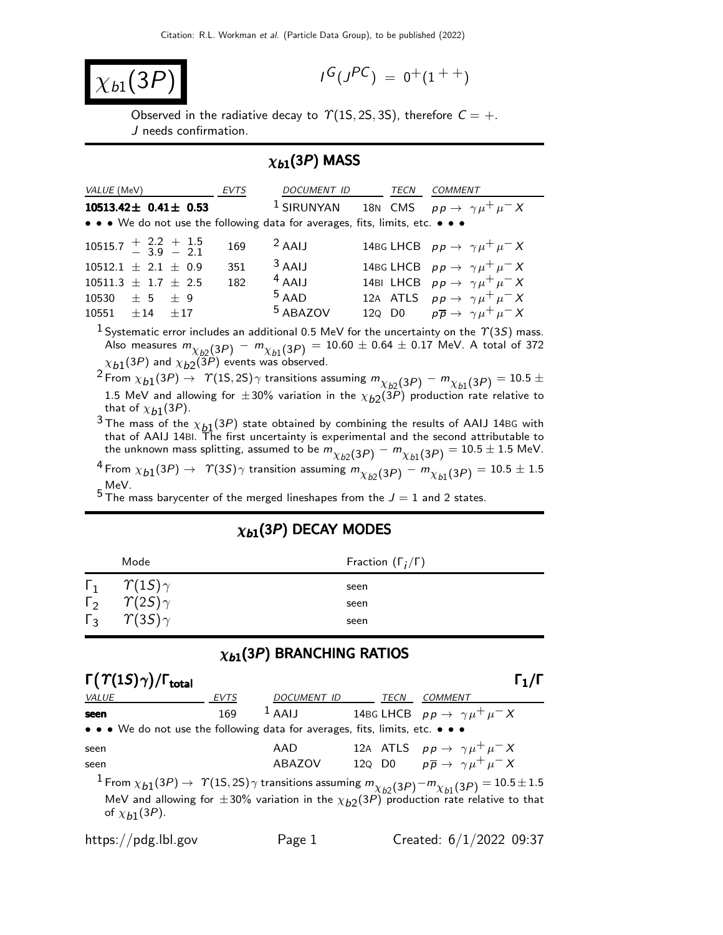$$
\boxed{\chi_{b1}(3P)}
$$

$$
I^G(J^{PC})\ =\ 0^+(1^{++})
$$

Observed in the radiative decay to  $\Upsilon(1S, 2S, 3S)$ , therefore  $C = +$ . J needs confirmation.

## $\chi_{b1}(3P)$  MASS

|                                                                                                                   | <i>VALUE</i> (MeV)           | <b>EVTS</b> | DOCUMENT ID TECN                                                              | <b>COMMENT</b>                                                      |
|-------------------------------------------------------------------------------------------------------------------|------------------------------|-------------|-------------------------------------------------------------------------------|---------------------------------------------------------------------|
|                                                                                                                   | $10513.42 \pm 0.41 \pm 0.53$ |             | • • • We do not use the following data for averages, fits, limits, etc. • • • | <sup>1</sup> SIRUNYAN 18N CMS $pp \rightarrow \gamma \mu^+ \mu^- X$ |
| $10515.7 + 2.2 + 1.5$<br>$-3.9 - 2.1$                                                                             |                              | 169         | $2$ AAIJ                                                                      | 14BG LHCB $pp \rightarrow \gamma \mu^+ \mu^- X$                     |
| $10512.1 \pm 2.1 \pm 0.9$                                                                                         |                              | 351         | $3$ AAIJ                                                                      | 14BG LHCB $pp \rightarrow \gamma \mu^+ \mu^- X$                     |
| $10511.3 \pm 1.7 \pm 2.5$                                                                                         |                              | 182         | $4$ AAIJ                                                                      | 14BI LHCB $pp \rightarrow \gamma \mu^+ \mu^- X$                     |
| $10530 \pm 5 \pm 9$                                                                                               |                              |             | $5$ AAD                                                                       | 12A ATLS $pp \rightarrow \gamma \mu^+ \mu^- X$                      |
| $10551 \pm 14 \pm 17$                                                                                             |                              |             | <sup>5</sup> ABAZOV                                                           | 120 D0 $p\overline{p} \rightarrow \gamma \mu^+ \mu^- X$             |
| the state of the state of the state of the state of the state of the state of the state of the state of the state |                              |             |                                                                               |                                                                     |

<sup>1</sup> Systematic error includes an additional 0.5 MeV for the uncertainty on the  $\gamma$ (3S) mass. Also measures  $m_{\chi_{b2}(3P)} - m_{\chi_{b1}(3P)} = 10.60 \pm 0.64 \pm 0.17$  MeV. A total of 372  $\chi_{b1}(3P)$  and  $\chi_{b2}(3P)$  events was observed.

 $2$  From  $\chi_{b1}(3P) \rightarrow \gamma(15, 2S) \gamma$  transitions assuming  $m_{\chi_{b2}(3P)} - m_{\chi_{b1}(3P)} = 10.5 \pm 10^{-10} \gamma(15, 2S) \gamma$ 1.5 MeV and allowing for  $\pm 30\%$  variation in the  $\chi_{b2}(3\bar{P})$  production rate relative to that of  $\chi_{b1}(3P)$ .

<sup>3</sup> The mass of the  $\chi_{p1}(3P)$  state obtained by combining the results of AAIJ 14BG with that of AAIJ 14BI. The first uncertainty is experimental and the second attributable to the unknown mass splitting, assumed to be  $m_{\chi_{b2}(3P)}^{\prime}-m_{\chi_{b1}(3P)}=10.5\pm1.5$  MeV.

 $^4$  From  $\chi_{b1}(3P) \to$   $\gamma(3S)\gamma$  transition assuming  $m_{\chi_{b2}(3P)} - m_{\chi_{b1}(3P)} = 10.5 \pm 1.5$ MeV.

 $5$  The mass barycenter of the merged lineshapes from the  $J = 1$  and 2 states.

|              | Mode               | Fraction $(\Gamma_i/\Gamma)$ |
|--------------|--------------------|------------------------------|
| $\Gamma_1$   | $\gamma(1S)\gamma$ | seen                         |
| $\Gamma_{2}$ | $\gamma(2S)\gamma$ | seen                         |
| $\Gamma_3$   | $\gamma(35)\gamma$ | seen                         |

## $\chi_{b1}(3P)$  DECAY MODES

## $\chi_{b1}(3P)$  BRANCHING RATIOS

| $\Gamma(\Upsilon(1S)\gamma)/\Gamma_{\text{total}}$                                                                                                                                                                                                        |             |             |  |      |                                                                   |
|-----------------------------------------------------------------------------------------------------------------------------------------------------------------------------------------------------------------------------------------------------------|-------------|-------------|--|------|-------------------------------------------------------------------|
| <b>VALUE</b>                                                                                                                                                                                                                                              | <b>EVTS</b> | DOCUMENT ID |  | TECN | <i>COMMENT</i>                                                    |
| seen                                                                                                                                                                                                                                                      | 169         |             |  |      | <sup>1</sup> AAIJ 14BG LHCB $pp \rightarrow \gamma \mu^+ \mu^- X$ |
| • • • We do not use the following data for averages, fits, limits, etc. • • •                                                                                                                                                                             |             |             |  |      |                                                                   |
| seen                                                                                                                                                                                                                                                      |             | AAD         |  |      | 12A ATLS $pp \rightarrow \gamma \mu^+ \mu^- X$                    |
| seen                                                                                                                                                                                                                                                      |             | ABAZOV      |  |      | 12Q D0 $p\overline{p} \rightarrow \gamma \mu^+ \mu^- X$           |
| $1$ From $\chi_{b1}(3P) \to \gamma(1S,2S)\gamma$ transitions assuming $m_{\chi_{b2}(3P)} - m_{\chi_{b1}(3P)} = 10.5 \pm 1.5$<br>MeV and allowing for $\pm 30\%$ variation in the $\chi_{b2}(3P)$ production rate relative to that<br>of $\chi_{h1}(3P)$ . |             |             |  |      |                                                                   |

https://pdg.lbl.gov Page 1 Created:  $6/1/2022$  09:37